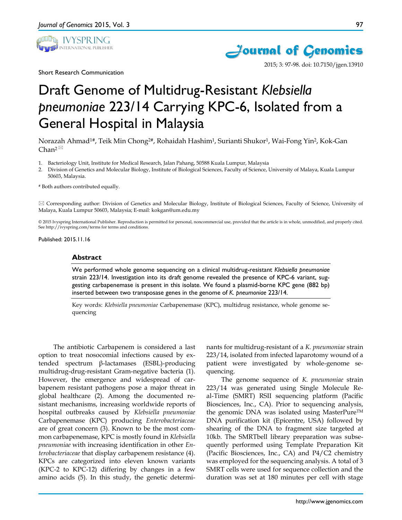

Short Research Communication





2015; 3: 97-98. doi: 10.7150/jgen.13910

# Draft Genome of Multidrug-Resistant *Klebsiella pneumoniae* 223/14 Carrying KPC-6, Isolated from a General Hospital in Malaysia

Norazah Ahmad1#, Teik Min Chong2#, Rohaidah Hashim1, Surianti Shukor1, Wai-Fong Yin2, Kok-Gan Chan<sup>2 $\boxtimes$ </sup>

- 1. Bacteriology Unit, Institute for Medical Research, Jalan Pahang, 50588 Kuala Lumpur, Malaysia
- 2. Division of Genetics and Molecular Biology, Institute of Biological Sciences, Faculty of Science, University of Malaya, Kuala Lumpur 50603, Malaysia.

# Both authors contributed equally.

 Corresponding author: Division of Genetics and Molecular Biology, Institute of Biological Sciences, Faculty of Science, University of Malaya, Kuala Lumpur 50603, Malaysia; E-mail: kokgan@um.edu.my

© 2015 Ivyspring International Publisher. Reproduction is permitted for personal, noncommercial use, provided that the article is in whole, unmodified, and properly cited. See http://ivyspring.com/terms for terms and conditions.

Published: 2015.11.16

#### **Abstract**

We performed whole genome sequencing on a clinical multidrug-resistant *Klebsiella pneumoniae*  strain 223/14. Investigation into its draft genome revealed the presence of KPC-6 variant, suggesting carbapenemase is present in this isolate. We found a plasmid-borne KPC gene (882 bp) inserted between two transposase genes in the genome of *K. pneumoniae* 223/14.

Key words: *Klebsiella pneumoniae* Carbapenemase (KPC), multidrug resistance, whole genome sequencing

The antibiotic Carbapenem is considered a last option to treat nosocomial infections caused by extended spectrum β-lactamases (ESBL)-producing multidrug-drug-resistant Gram-negative bacteria (1). However, the emergence and widespread of carbapenem resistant pathogens pose a major threat in global healthcare (2). Among the documented resistant mechanisms, increasing worldwide reports of hospital outbreaks caused by *Klebsiella pneumoniae* Carbapenemase (KPC) producing *Enterobacteriaceae* are of great concern (3). Known to be the most common carbapenemase, KPC is mostly found in *Klebsiella pneumoniae* with increasing identification in other *Enterobacteriaceae* that display carbapenem resistance (4). KPCs are categorized into eleven known variants (KPC-2 to KPC-12) differing by changes in a few amino acids (5). In this study, the genetic determinants for multidrug-resistant of a *K. pneumoniae* strain 223/14, isolated from infected laparotomy wound of a patient were investigated by whole-genome sequencing.

The genome sequence of *K. pneumoniae* strain 223/14 was generated using Single Molecule Real-Time (SMRT) RSII sequencing platform (Pacific Biosciences, Inc., CA). Prior to sequencing analysis, the genomic DNA was isolated using MasterPure<sup>TM</sup> DNA purification kit (Epicentre, USA) followed by shearing of the DNA to fragment size targeted at 10kb. The SMRTbell library preparation was subsequently performed using Template Preparation Kit (Pacific Biosciences, Inc., CA) and P4/C2 chemistry was employed for the sequencing analysis. A total of 3 SMRT cells were used for sequence collection and the duration was set at 180 minutes per cell with stage